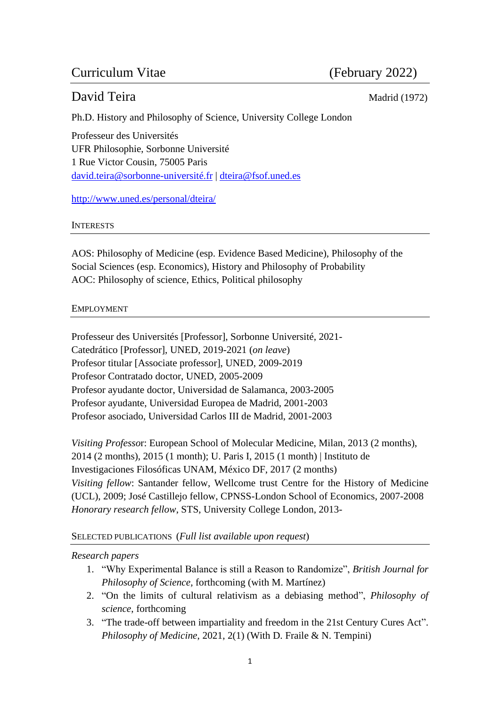# Curriculum Vitae (February 2022)

# David Teira Madrid (1972)

Ph.D. History and Philosophy of Science, University College London

Professeur des Universités UFR Philosophie, Sorbonne Université 1 Rue Victor Cousin, 75005 Paris [david.teira@sorbonne-université.fr](mailto:david.teira@sorbonne-université.fr) | [dteira@fsof.uned.es](mailto:dteira@fsof.uned.es)

<http://www.uned.es/personal/dteira/>

## INTERESTS

AOS: Philosophy of Medicine (esp. Evidence Based Medicine), Philosophy of the Social Sciences (esp. Economics), History and Philosophy of Probability AOC: Philosophy of science, Ethics, Political philosophy

# EMPLOYMENT

Professeur des Universités [Professor], Sorbonne Université, 2021- Catedrático [Professor], UNED, 2019-2021 (*on leave*) Profesor titular [Associate professor], UNED, 2009-2019 Profesor Contratado doctor, UNED, 2005-2009 Profesor ayudante doctor, Universidad de Salamanca, 2003-2005 Profesor ayudante, Universidad Europea de Madrid, 2001-2003 Profesor asociado, Universidad Carlos III de Madrid, 2001-2003

*Visiting Professo*r: European School of Molecular Medicine, Milan, 2013 (2 months), 2014 (2 months), 2015 (1 month); U. Paris I, 2015 (1 month) | Instituto de Investigaciones Filosóficas UNAM, México DF, 2017 (2 months) *Visiting fellow*: Santander fellow, Wellcome trust Centre for the History of Medicine (UCL), 2009; José Castillejo fellow, CPNSS-London School of Economics, 2007-2008 *Honorary research fellow*, STS, University College London, 2013-

# SELECTED PUBLICATIONS (*Full list available upon request*)

# *Research papers*

- 1. "Why Experimental Balance is still a Reason to Randomize", *British Journal for Philosophy of Science,* forthcoming (with M. Martínez)
- 2. "On the limits of cultural relativism as a debiasing method", *Philosophy of science*, forthcoming
- 3. "The trade-off between impartiality and freedom in the 21st Century Cures Act". *Philosophy of Medicine*, 2021, 2(1) (With D. Fraile & N. Tempini)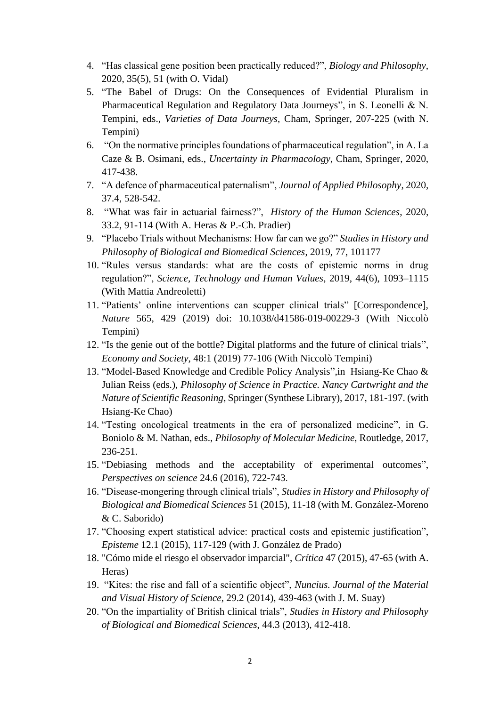- 4. "Has classical gene position been practically reduced?", *Biology and Philosophy*, 2020, 35(5), 51 (with O. Vidal)
- 5. "The Babel of Drugs: On the Consequences of Evidential Pluralism in Pharmaceutical Regulation and Regulatory Data Journeys", in S. Leonelli & N. Tempini, eds., *Varieties of Data Journeys*, Cham, Springer, 207-225 (with N. Tempini)
- 6. "On the normative principles foundations of pharmaceutical regulation", in A. La Caze & B. Osimani, eds., *Uncertainty in Pharmacology*, Cham, Springer, 2020, 417-438.
- 7. "A defence of pharmaceutical paternalism", *Journal of Applied Philosophy*, 2020, 37.4, 528-542.
- 8. "What was fair in actuarial fairness?", *History of the Human Sciences*, 2020, 33.2, 91-114 (With A. Heras & P.-Ch. Pradier)
- 9. "Placebo Trials without Mechanisms: How far can we go?" *Studies in History and Philosophy of Biological and Biomedical Sciences*, 2019, 77, 101177
- 10. "Rules versus standards: what are the costs of epistemic norms in drug regulation?", *Science, Technology and Human Values*, 2019, 44(6), 1093–1115 (With Mattia Andreoletti)
- 11. "Patients' online interventions can scupper clinical trials" [Correspondence], *Nature* 565, 429 (2019) doi: 10.1038/d41586-019-00229-3 (With Niccolò Tempini)
- 12. "Is the genie out of the bottle? Digital platforms and the future of clinical trials", *Economy and Society*, 48:1 (2019) 77-106 (With Niccolò Tempini)
- 13. "Model-Based Knowledge and Credible Policy Analysis",in Hsiang-Ke Chao & Julian Reiss (eds.), *Philosophy of Science in Practice. Nancy Cartwright and the Nature of Scientific Reasoning*, Springer (Synthese Library), 2017, 181-197. (with Hsiang-Ke Chao)
- 14. "Testing oncological treatments in the era of personalized medicine", in G. Boniolo & M. Nathan, eds., *Philosophy of Molecular Medicine*, Routledge, 2017, 236-251.
- 15. "Debiasing methods and the acceptability of experimental outcomes", *Perspectives on science* 24.6 (2016), 722-743.
- 16. "Disease-mongering through clinical trials", *Studies in History and Philosophy of Biological and Biomedical Sciences* 51 (2015), 11-18 (with M. González-Moreno & C. Saborido)
- 17. "Choosing expert statistical advice: practical costs and epistemic justification", *Episteme* 12.1 (2015), 117-129 (with J. González de Prado)
- 18. "Cómo mide el riesgo el observador imparcial", *Crítica* 47 (2015), 47-65 (with A. Heras)
- 19. "Kites: the rise and fall of a scientific object", *Nuncius. Journal of the Material and Visual History of Science*, 29.2 (2014), 439-463 (with J. M. Suay)
- 20. "On the impartiality of British clinical trials", *Studies in History and Philosophy of Biological and Biomedical Sciences*, 44.3 (2013), 412-418.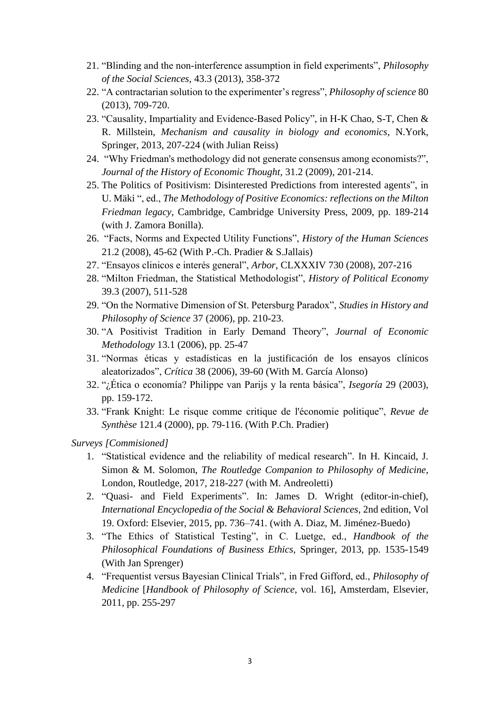- 21. "Blinding and the non-interference assumption in field experiments", *Philosophy of the Social Sciences*, 43.3 (2013), 358-372
- 22. "A contractarian solution to the experimenter's regress", *Philosophy of science* 80 (2013), 709-720.
- 23. "Causality, Impartiality and Evidence-Based Policy", in H-K Chao, S-T, Chen & R. Millstein, *Mechanism and causality in biology and economics*, N.York, Springer, 2013, 207-224 (with Julian Reiss)
- 24. "Why Friedman's methodology did not generate consensus among economists?", *Journal of the History of Economic Thought*, 31.2 (2009), 201-214.
- 25. The Politics of Positivism: Disinterested Predictions from interested agents", in U. Mäki ", ed., *The Methodology of Positive Economics: reflections on the Milton Friedman legacy*, Cambridge, Cambridge University Press, 2009, pp. 189-214 (with J. Zamora Bonilla).
- 26. "Facts, Norms and Expected Utility Functions", *History of the Human Sciences* 21.2 (2008), 45-62 (With P.-Ch. Pradier & S.Jallais)
- 27. "Ensayos clinicos e interés general", *Arbor*, CLXXXIV 730 (2008), 207-216
- 28. "Milton Friedman, the Statistical Methodologist", *History of Political Economy* 39.3 (2007), 511-528
- 29. "On the Normative Dimension of St. Petersburg Paradox", *Studies in History and Philosophy of Science* 37 (2006), pp. 210-23.
- 30. "A Positivist Tradition in Early Demand Theory", *Journal of Economic Methodology* 13.1 (2006), pp. 25-47
- 31. "Normas éticas y estadísticas en la justificación de los ensayos clínicos aleatorizados", *Crítica* 38 (2006), 39-60 (With M. García Alonso)
- 32. "¿Ética o economía? Philippe van Parijs y la renta básica", *Isegoría* 29 (2003), pp. 159-172.
- 33. "Frank Knight: Le risque comme critique de l'économie politique", *Revue de Synthèse* 121.4 (2000), pp. 79-116. (With P.Ch. Pradier)

*Surveys [Commisioned]*

- 1. "Statistical evidence and the reliability of medical research". In H. Kincaid, J. Simon & M. Solomon, *The Routledge Companion to Philosophy of Medicine*, London, Routledge, 2017, 218-227 (with M. Andreoletti)
- 2. "Quasi- and Field Experiments". In: James D. Wright (editor-in-chief), *International Encyclopedia of the Social & Behavioral Sciences*, 2nd edition, Vol 19. Oxford: Elsevier, 2015, pp. 736–741. (with A. Diaz, M. Jiménez-Buedo)
- 3. "The Ethics of Statistical Testing", in C. Luetge, ed., *Handbook of the Philosophical Foundations of Business Ethics,* Springer, 2013, pp. 1535-1549 (With Jan Sprenger)
- 4. "Frequentist versus Bayesian Clinical Trials", in Fred Gifford, ed., *Philosophy of Medicine* [*Handbook of Philosophy of Science*, vol. 16], Amsterdam, Elsevier, 2011, pp. 255-297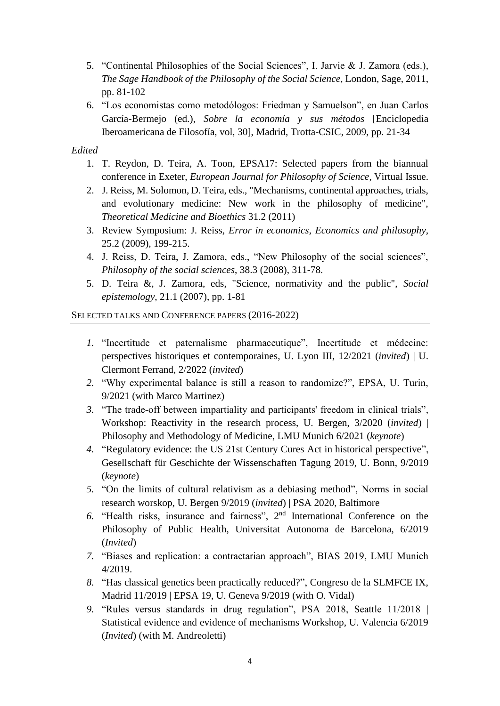- 5. "Continental Philosophies of the Social Sciences", I. Jarvie & J. Zamora (eds.), *The Sage Handbook of the Philosophy of the Social Science*, London, Sage, 2011, pp. 81-102
- 6. "Los economistas como metodólogos: Friedman y Samuelson", en Juan Carlos García-Bermejo (ed.), *Sobre la economía y sus métodos* [Enciclopedia Iberoamericana de Filosofía, vol, 30], Madrid, Trotta-CSIC, 2009, pp. 21-34

## *Edited*

- 1. T. Reydon, D. Teira, A. Toon, EPSA17: Selected papers from the biannual conference in Exeter, *European Journal for Philosophy of Science*, Virtual Issue.
- 2. J. Reiss, M. Solomon, D. Teira, eds., "Mechanisms, continental approaches, trials, and evolutionary medicine: New work in the philosophy of medicine", *Theoretical Medicine and Bioethics* 31.2 (2011)
- 3. Review Symposium: J. Reiss, *Error in economics*, *Economics and philosophy*, 25.2 (2009), 199-215.
- 4. J. Reiss, D. Teira, J. Zamora, eds., "New Philosophy of the social sciences", *Philosophy of the social sciences*, 38.3 (2008), 311-78.
- 5. D. Teira &, J. Zamora, eds, "Science, normativity and the public", *Social epistemology*, 21.1 (2007), pp. 1-81

## SELECTED TALKS AND CONFERENCE PAPERS (2016-2022)

- *1.* "Incertitude et paternalisme pharmaceutique", Incertitude et médecine: perspectives historiques et contemporaines, U. Lyon III, 12/2021 (*invited*) | U. Clermont Ferrand, 2/2022 (*invited*)
- *2.* "Why experimental balance is still a reason to randomize?", EPSA, U. Turin, 9/2021 (with Marco Martinez)
- *3.* "The trade-off between impartiality and participants' freedom in clinical trials", Workshop: Reactivity in the research process, U. Bergen, 3/2020 (*invited*) | Philosophy and Methodology of Medicine, LMU Munich 6/2021 (*keynote*)
- *4.* "Regulatory evidence: the US 21st Century Cures Act in historical perspective", Gesellschaft für Geschichte der Wissenschaften Tagung 2019, U. Bonn, 9/2019 (*keynote*)
- *5.* "On the limits of cultural relativism as a debiasing method", Norms in social research worskop, U. Bergen 9/2019 (*invited*) | PSA 2020, Baltimore
- 6. "Health risks, insurance and fairness", 2<sup>nd</sup> International Conference on the Philosophy of Public Health, Universitat Autonoma de Barcelona, 6/2019 (*Invited*)
- *7.* "Biases and replication: a contractarian approach", BIAS 2019, LMU Munich 4/2019.
- *8.* "Has classical genetics been practically reduced?", Congreso de la SLMFCE IX, Madrid 11/2019 | EPSA 19, U. Geneva 9/2019 (with O. Vidal)
- *9.* "Rules versus standards in drug regulation", PSA 2018, Seattle 11/2018 | Statistical evidence and evidence of mechanisms Workshop, U. Valencia 6/2019 (*Invited*) (with M. Andreoletti)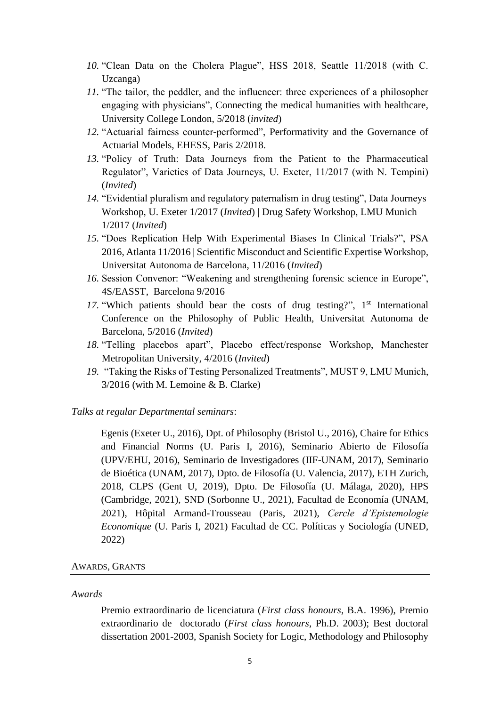- *10.* "Clean Data on the Cholera Plague", HSS 2018, Seattle 11/2018 (with C. Uzcanga)
- *11.* "The tailor, the peddler, and the influencer: three experiences of a philosopher engaging with physicians", Connecting the medical humanities with healthcare, University College London, 5/2018 (*invited*)
- *12.* "Actuarial fairness counter-performed", Performativity and the Governance of Actuarial Models, EHESS, Paris 2/2018.
- *13.* "Policy of Truth: Data Journeys from the Patient to the Pharmaceutical Regulator", Varieties of Data Journeys, U. Exeter, 11/2017 (with N. Tempini) (*Invited*)
- *14.* "Evidential pluralism and regulatory paternalism in drug testing", Data Journeys Workshop, U. Exeter 1/2017 (*Invited*) | Drug Safety Workshop, LMU Munich 1/2017 (*Invited*)
- *15.* "Does Replication Help With Experimental Biases In Clinical Trials?", PSA 2016, Atlanta 11/2016 | Scientific Misconduct and Scientific Expertise Workshop, Universitat Autonoma de Barcelona, 11/2016 (*Invited*)
- *16.* Session Convenor: "Weakening and strengthening forensic science in Europe", 4S/EASST, Barcelona 9/2016
- 17. "Which patients should bear the costs of drug testing?", 1<sup>st</sup> International Conference on the Philosophy of Public Health, Universitat Autonoma de Barcelona, 5/2016 (*Invited*)
- *18.* "Telling placebos apart", Placebo effect/response Workshop, Manchester Metropolitan University, 4/2016 (*Invited*)
- *19.* "Taking the Risks of Testing Personalized Treatments", MUST 9, LMU Munich, 3/2016 (with M. Lemoine & B. Clarke)

*Talks at regular Departmental seminars*:

Egenis (Exeter U., 2016), Dpt. of Philosophy (Bristol U., 2016), Chaire for Ethics and Financial Norms (U. Paris I, 2016), Seminario Abierto de Filosofía (UPV/EHU, 2016), Seminario de Investigadores (IIF-UNAM, 2017), Seminario de Bioética (UNAM, 2017), Dpto. de Filosofía (U. Valencia, 2017), ETH Zurich, 2018, CLPS (Gent U, 2019), Dpto. De Filosofía (U. Málaga, 2020), HPS (Cambridge, 2021), SND (Sorbonne U., 2021), Facultad de Economía (UNAM, 2021), Hôpital Armand-Trousseau (Paris, 2021), *Cercle d'Epistemologie Economique* (U. Paris I, 2021) Facultad de CC. Políticas y Sociología (UNED, 2022)

#### AWARDS, GRANTS

#### *Awards*

Premio extraordinario de licenciatura (*First class honours*, B.A. 1996), Premio extraordinario de doctorado (*First class honours*, Ph.D. 2003); Best doctoral dissertation 2001-2003, Spanish Society for Logic, Methodology and Philosophy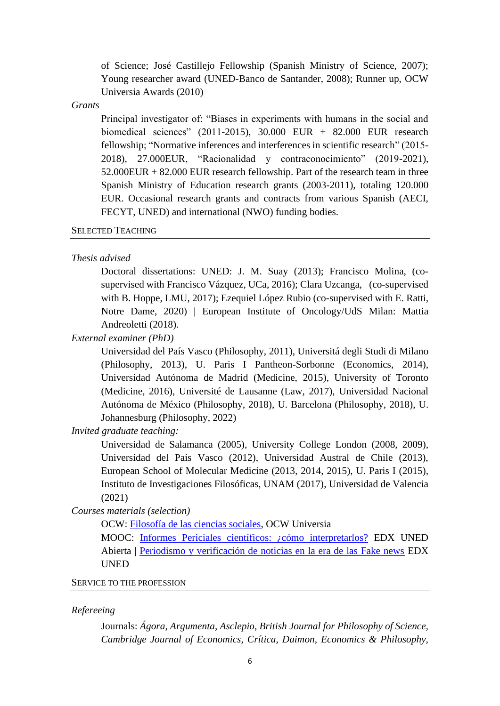of Science; José Castillejo Fellowship (Spanish Ministry of Science, 2007); Young researcher award (UNED-Banco de Santander, 2008); Runner up, OCW Universia Awards (2010)

#### *Grants*

Principal investigator of: "Biases in experiments with humans in the social and biomedical sciences" (2011-2015), 30.000 EUR + 82.000 EUR research fellowship; "Normative inferences and interferences in scientific research" (2015- 2018), 27.000EUR, "Racionalidad y contraconocimiento" (2019-2021),  $52.000EUR + 82.000EUR$  research fellowship. Part of the research team in three Spanish Ministry of Education research grants (2003-2011), totaling 120.000 EUR. Occasional research grants and contracts from various Spanish (AECI, FECYT, UNED) and international (NWO) funding bodies.

## SELECTED TEACHING

#### *Thesis advised*

Doctoral dissertations: UNED: J. M. Suay (2013); Francisco Molina, (cosupervised with Francisco Vázquez, UCa, 2016); Clara Uzcanga, (co-supervised with B. Hoppe, LMU, 2017); Ezequiel López Rubio (co-supervised with E. Ratti, Notre Dame, 2020) | European Institute of Oncology/UdS Milan: Mattia Andreoletti (2018).

*External examiner (PhD)*

Universidad del País Vasco (Philosophy, 2011), Universitá degli Studi di Milano (Philosophy, 2013), U. Paris I Pantheon-Sorbonne (Economics, 2014), Universidad Autónoma de Madrid (Medicine, 2015), University of Toronto (Medicine, 2016), Université de Lausanne (Law, 2017), Universidad Nacional Autónoma de México (Philosophy, 2018), U. Barcelona (Philosophy, 2018), U. Johannesburg (Philosophy, 2022)

*Invited graduate teaching:*

Universidad de Salamanca (2005), University College London (2008, 2009), Universidad del País Vasco (2012), Universidad Austral de Chile (2013), European School of Molecular Medicine (2013, 2014, 2015), U. Paris I (2015), Instituto de Investigaciones Filosóficas, UNAM (2017), Universidad de Valencia (2021)

*Courses materials (selection)*

OCW: [Filosofía de las ciencias sociales,](http://ocw.innova.uned.es/ocwuniversia/filosofia/filosofia-de-las-ciencias-sociales) OCW Universia

MOOC: [Informes Periciales científicos: ¿cómo interpretarlos?](https://iedra.uned.es/courses/Uned/UO160100/2016T1/about) EDX UNED Abierta | [Periodismo y verificación de noticias en la era de las Fake news](https://iedra.uned.es/courses/course-v1:UNED+FakeNews_001+2021/about) EDX UNED

## SERVICE TO THE PROFESSION

#### *Refereeing*

Journals: *Ágora*, *Argumenta*, *Asclepio*, *British Journal for Philosophy of Science, Cambridge Journal of Economics, Crítica, Daimon, Economics & Philosophy,*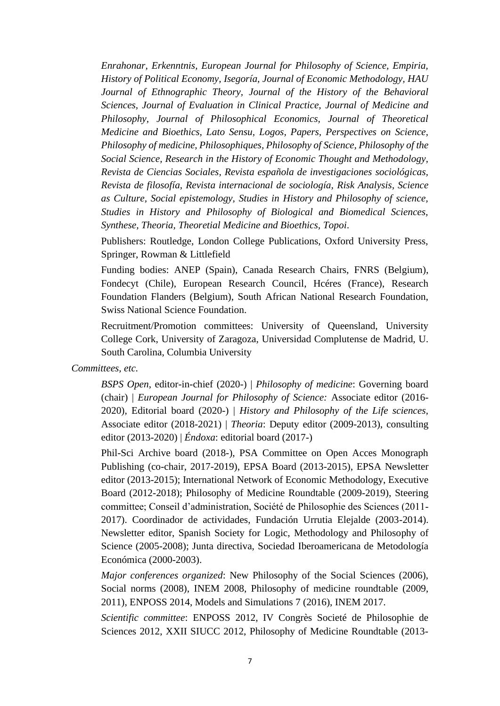*Enrahonar, Erkenntnis, European Journal for Philosophy of Science, Empiria, History of Political Economy, Isegoría, Journal of Economic Methodology, HAU Journal of Ethnographic Theory, Journal of the History of the Behavioral Sciences, Journal of Evaluation in Clinical Practice, Journal of Medicine and Philosophy, Journal of Philosophical Economics, Journal of Theoretical Medicine and Bioethics, Lato Sensu, Logos, Papers, Perspectives on Science, Philosophy of medicine, Philosophiques, Philosophy of Science, Philosophy of the Social Science, Research in the History of Economic Thought and Methodology, Revista de Ciencias Sociales, Revista española de investigaciones sociológicas, Revista de filosofía, Revista internacional de sociología, Risk Analysis, Science as Culture, Social epistemology, Studies in History and Philosophy of science, Studies in History and Philosophy of Biological and Biomedical Sciences, Synthese, Theoria, Theoretial Medicine and Bioethics, Topoi*.

Publishers: Routledge, London College Publications, Oxford University Press, Springer, Rowman & Littlefield

Funding bodies: ANEP (Spain), Canada Research Chairs, FNRS (Belgium), Fondecyt (Chile), European Research Council, Hcéres (France), Research Foundation Flanders (Belgium), South African National Research Foundation, Swiss National Science Foundation.

Recruitment/Promotion committees: University of Queensland, University College Cork, University of Zaragoza, Universidad Complutense de Madrid, U. South Carolina, Columbia University

*Committees, etc.*

*BSPS Open*, editor-in-chief (2020-) | *Philosophy of medicine*: Governing board (chair) | *European Journal for Philosophy of Science:* Associate editor (2016- 2020), Editorial board (2020-) | *History and Philosophy of the Life sciences,*  Associate editor (2018-2021) | *Theoria*: Deputy editor (2009-2013), consulting editor (2013-2020) | *Éndoxa*: editorial board (2017-)

Phil-Sci Archive board (2018-), PSA Committee on Open Acces Monograph Publishing (co-chair, 2017-2019), EPSA Board (2013-2015), EPSA Newsletter editor (2013-2015); International Network of Economic Methodology, Executive Board (2012-2018); Philosophy of Medicine Roundtable (2009-2019), Steering committee; Conseil d'administration, Société de Philosophie des Sciences (2011- 2017). Coordinador de actividades, Fundación Urrutia Elejalde (2003-2014). Newsletter editor, Spanish Society for Logic, Methodology and Philosophy of Science (2005-2008); Junta directiva, Sociedad Iberoamericana de Metodología Económica (2000-2003).

*Major conferences organized*: New Philosophy of the Social Sciences (2006), Social norms (2008), INEM 2008, Philosophy of medicine roundtable (2009, 2011), ENPOSS 2014, Models and Simulations 7 (2016), INEM 2017.

*Scientific committee*: ENPOSS 2012, IV Congrès Societé de Philosophie de Sciences 2012, XXII SIUCC 2012, Philosophy of Medicine Roundtable (2013-